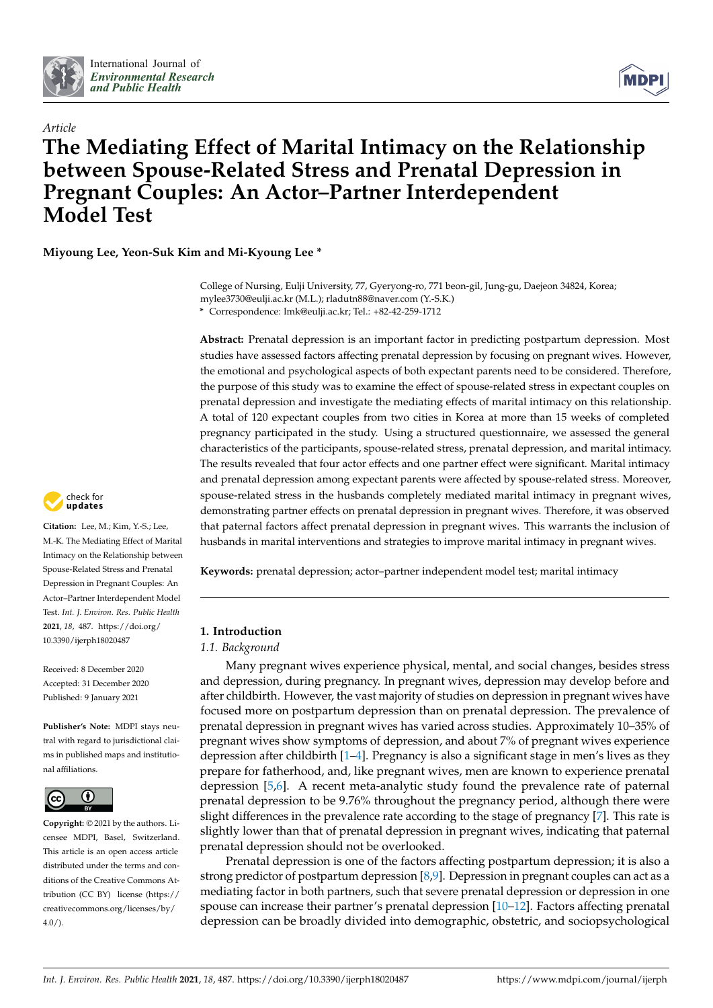



# *Article* **The Mediating Effect of Marital Intimacy on the Relationship between Spouse-Related Stress and Prenatal Depression in Pregnant Couples: An Actor–Partner Interdependent Model Test**

**Miyoung Lee, Yeon-Suk Kim and Mi-Kyoung Lee \***

College of Nursing, Eulji University, 77, Gyeryong-ro, 771 beon-gil, Jung-gu, Daejeon 34824, Korea; mylee3730@eulji.ac.kr (M.L.); rladutn88@naver.com (Y.-S.K.) **\*** Correspondence: lmk@eulji.ac.kr; Tel.: +82-42-259-1712

**Abstract:** Prenatal depression is an important factor in predicting postpartum depression. Most studies have assessed factors affecting prenatal depression by focusing on pregnant wives. However, the emotional and psychological aspects of both expectant parents need to be considered. Therefore, the purpose of this study was to examine the effect of spouse-related stress in expectant couples on prenatal depression and investigate the mediating effects of marital intimacy on this relationship. A total of 120 expectant couples from two cities in Korea at more than 15 weeks of completed pregnancy participated in the study. Using a structured questionnaire, we assessed the general characteristics of the participants, spouse-related stress, prenatal depression, and marital intimacy. The results revealed that four actor effects and one partner effect were significant. Marital intimacy and prenatal depression among expectant parents were affected by spouse-related stress. Moreover, spouse-related stress in the husbands completely mediated marital intimacy in pregnant wives, demonstrating partner effects on prenatal depression in pregnant wives. Therefore, it was observed that paternal factors affect prenatal depression in pregnant wives. This warrants the inclusion of husbands in marital interventions and strategies to improve marital intimacy in pregnant wives.

**Keywords:** prenatal depression; actor–partner independent model test; marital intimacy

## **1. Introduction**

*1.1. Background*

Many pregnant wives experience physical, mental, and social changes, besides stress and depression, during pregnancy. In pregnant wives, depression may develop before and after childbirth. However, the vast majority of studies on depression in pregnant wives have focused more on postpartum depression than on prenatal depression. The prevalence of prenatal depression in pregnant wives has varied across studies. Approximately 10–35% of pregnant wives show symptoms of depression, and about 7% of pregnant wives experience depression after childbirth [\[1](#page-8-0)[–4\]](#page-8-1). Pregnancy is also a significant stage in men's lives as they prepare for fatherhood, and, like pregnant wives, men are known to experience prenatal depression [\[5](#page-8-2)[,6\]](#page-8-3). A recent meta-analytic study found the prevalence rate of paternal prenatal depression to be 9.76% throughout the pregnancy period, although there were slight differences in the prevalence rate according to the stage of pregnancy [\[7\]](#page-8-4). This rate is slightly lower than that of prenatal depression in pregnant wives, indicating that paternal prenatal depression should not be overlooked.

Prenatal depression is one of the factors affecting postpartum depression; it is also a strong predictor of postpartum depression [\[8](#page-8-5)[,9\]](#page-8-6). Depression in pregnant couples can act as a mediating factor in both partners, such that severe prenatal depression or depression in one spouse can increase their partner's prenatal depression [\[10](#page-9-0)[–12\]](#page-9-1). Factors affecting prenatal depression can be broadly divided into demographic, obstetric, and sociopsychological



**Citation:** Lee, M.; Kim, Y.-S.; Lee, M.-K. The Mediating Effect of Marital Intimacy on the Relationship between Spouse-Related Stress and Prenatal Depression in Pregnant Couples: An Actor–Partner Interdependent Model Test. *Int. J. Environ. Res. Public Health* **2021**, *18*, 487. [https://doi.org/](https://doi.org/10.3390/ijerph18020487) [10.3390/ijerph18020487](https://doi.org/10.3390/ijerph18020487)

Received: 8 December 2020 Accepted: 31 December 2020 Published: 9 January 2021

**Publisher's Note:** MDPI stays neutral with regard to jurisdictional claims in published maps and institutional affiliations.



**Copyright:** © 2021 by the authors. Licensee MDPI, Basel, Switzerland. This article is an open access article distributed under the terms and conditions of the Creative Commons Attribution (CC BY) license [\(https://](https://creativecommons.org/licenses/by/4.0/) [creativecommons.org/licenses/by/](https://creativecommons.org/licenses/by/4.0/)  $4.0/$ ).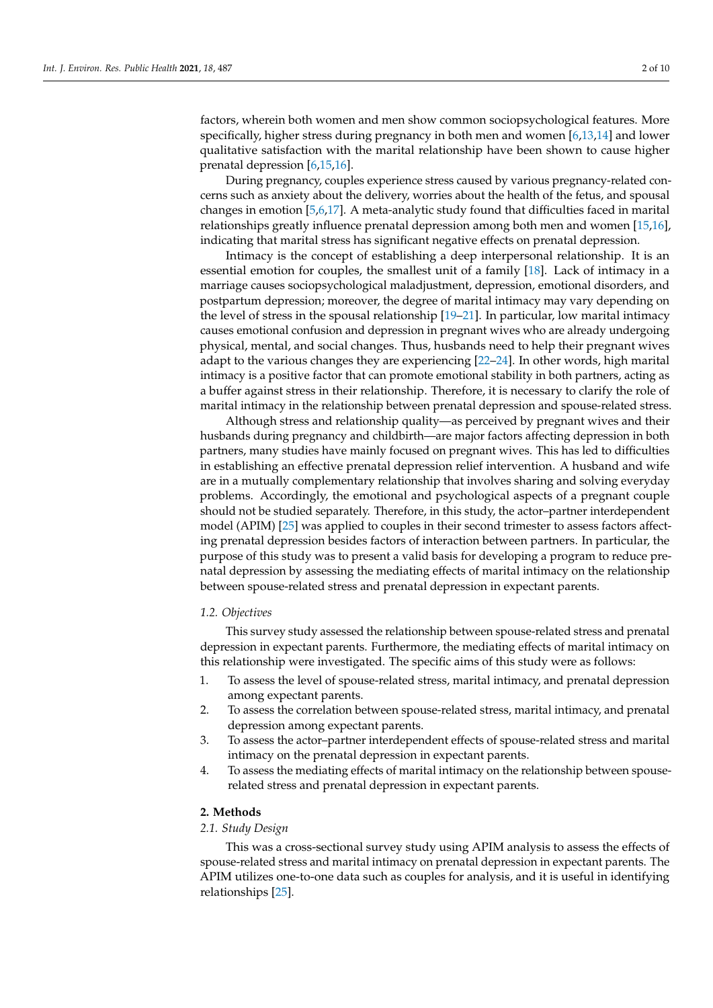factors, wherein both women and men show common sociopsychological features. More specifically, higher stress during pregnancy in both men and women [\[6](#page-8-3)[,13,](#page-9-2)[14\]](#page-9-3) and lower qualitative satisfaction with the marital relationship have been shown to cause higher prenatal depression [\[6,](#page-8-3)[15,](#page-9-4)[16\]](#page-9-5).

During pregnancy, couples experience stress caused by various pregnancy-related concerns such as anxiety about the delivery, worries about the health of the fetus, and spousal changes in emotion [\[5,](#page-8-2)[6,](#page-8-3)[17\]](#page-9-6). A meta-analytic study found that difficulties faced in marital relationships greatly influence prenatal depression among both men and women [\[15,](#page-9-4)[16\]](#page-9-5), indicating that marital stress has significant negative effects on prenatal depression.

Intimacy is the concept of establishing a deep interpersonal relationship. It is an essential emotion for couples, the smallest unit of a family [\[18\]](#page-9-7). Lack of intimacy in a marriage causes sociopsychological maladjustment, depression, emotional disorders, and postpartum depression; moreover, the degree of marital intimacy may vary depending on the level of stress in the spousal relationship [\[19](#page-9-8)[–21\]](#page-9-9). In particular, low marital intimacy causes emotional confusion and depression in pregnant wives who are already undergoing physical, mental, and social changes. Thus, husbands need to help their pregnant wives adapt to the various changes they are experiencing [\[22](#page-9-10)[–24\]](#page-9-11). In other words, high marital intimacy is a positive factor that can promote emotional stability in both partners, acting as a buffer against stress in their relationship. Therefore, it is necessary to clarify the role of marital intimacy in the relationship between prenatal depression and spouse-related stress.

Although stress and relationship quality—as perceived by pregnant wives and their husbands during pregnancy and childbirth—are major factors affecting depression in both partners, many studies have mainly focused on pregnant wives. This has led to difficulties in establishing an effective prenatal depression relief intervention. A husband and wife are in a mutually complementary relationship that involves sharing and solving everyday problems. Accordingly, the emotional and psychological aspects of a pregnant couple should not be studied separately. Therefore, in this study, the actor–partner interdependent model (APIM) [\[25\]](#page-9-12) was applied to couples in their second trimester to assess factors affecting prenatal depression besides factors of interaction between partners. In particular, the purpose of this study was to present a valid basis for developing a program to reduce prenatal depression by assessing the mediating effects of marital intimacy on the relationship between spouse-related stress and prenatal depression in expectant parents.

#### *1.2. Objectives*

This survey study assessed the relationship between spouse-related stress and prenatal depression in expectant parents. Furthermore, the mediating effects of marital intimacy on this relationship were investigated. The specific aims of this study were as follows:

- 1. To assess the level of spouse-related stress, marital intimacy, and prenatal depression among expectant parents.
- 2. To assess the correlation between spouse-related stress, marital intimacy, and prenatal depression among expectant parents.
- 3. To assess the actor–partner interdependent effects of spouse-related stress and marital intimacy on the prenatal depression in expectant parents.
- 4. To assess the mediating effects of marital intimacy on the relationship between spouserelated stress and prenatal depression in expectant parents.

#### **2. Methods**

#### *2.1. Study Design*

This was a cross-sectional survey study using APIM analysis to assess the effects of spouse-related stress and marital intimacy on prenatal depression in expectant parents. The APIM utilizes one-to-one data such as couples for analysis, and it is useful in identifying relationships [\[25\]](#page-9-12).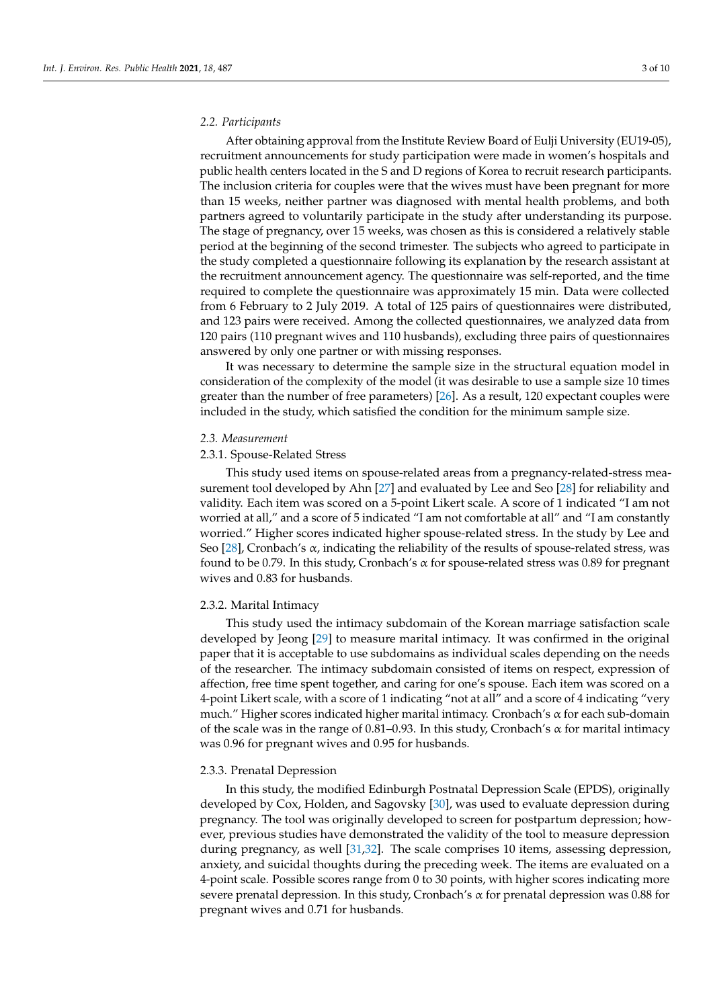#### *2.2. Participants*

After obtaining approval from the Institute Review Board of Eulji University (EU19-05), recruitment announcements for study participation were made in women's hospitals and public health centers located in the S and D regions of Korea to recruit research participants. The inclusion criteria for couples were that the wives must have been pregnant for more than 15 weeks, neither partner was diagnosed with mental health problems, and both partners agreed to voluntarily participate in the study after understanding its purpose. The stage of pregnancy, over 15 weeks, was chosen as this is considered a relatively stable period at the beginning of the second trimester. The subjects who agreed to participate in the study completed a questionnaire following its explanation by the research assistant at the recruitment announcement agency. The questionnaire was self-reported, and the time required to complete the questionnaire was approximately 15 min. Data were collected from 6 February to 2 July 2019. A total of 125 pairs of questionnaires were distributed, and 123 pairs were received. Among the collected questionnaires, we analyzed data from 120 pairs (110 pregnant wives and 110 husbands), excluding three pairs of questionnaires answered by only one partner or with missing responses.

It was necessary to determine the sample size in the structural equation model in consideration of the complexity of the model (it was desirable to use a sample size 10 times greater than the number of free parameters) [\[26\]](#page-9-13). As a result, 120 expectant couples were included in the study, which satisfied the condition for the minimum sample size.

#### *2.3. Measurement*

#### 2.3.1. Spouse-Related Stress

This study used items on spouse-related areas from a pregnancy-related-stress measurement tool developed by Ahn [\[27\]](#page-9-14) and evaluated by Lee and Seo [\[28\]](#page-9-15) for reliability and validity. Each item was scored on a 5-point Likert scale. A score of 1 indicated "I am not worried at all," and a score of 5 indicated "I am not comfortable at all" and "I am constantly worried." Higher scores indicated higher spouse-related stress. In the study by Lee and Seo [\[28\]](#page-9-15), Cronbach's  $\alpha$ , indicating the reliability of the results of spouse-related stress, was found to be 0.79. In this study, Cronbach's  $\alpha$  for spouse-related stress was 0.89 for pregnant wives and 0.83 for husbands.

#### 2.3.2. Marital Intimacy

This study used the intimacy subdomain of the Korean marriage satisfaction scale developed by Jeong [\[29\]](#page-9-16) to measure marital intimacy. It was confirmed in the original paper that it is acceptable to use subdomains as individual scales depending on the needs of the researcher. The intimacy subdomain consisted of items on respect, expression of affection, free time spent together, and caring for one's spouse. Each item was scored on a 4-point Likert scale, with a score of 1 indicating "not at all" and a score of 4 indicating "very much." Higher scores indicated higher marital intimacy. Cronbach's  $\alpha$  for each sub-domain of the scale was in the range of 0.81–0.93. In this study, Cronbach's  $\alpha$  for marital intimacy was 0.96 for pregnant wives and 0.95 for husbands.

#### 2.3.3. Prenatal Depression

In this study, the modified Edinburgh Postnatal Depression Scale (EPDS), originally developed by Cox, Holden, and Sagovsky [\[30\]](#page-9-17), was used to evaluate depression during pregnancy. The tool was originally developed to screen for postpartum depression; however, previous studies have demonstrated the validity of the tool to measure depression during pregnancy, as well [\[31](#page-9-18)[,32\]](#page-9-19). The scale comprises 10 items, assessing depression, anxiety, and suicidal thoughts during the preceding week. The items are evaluated on a 4-point scale. Possible scores range from 0 to 30 points, with higher scores indicating more severe prenatal depression. In this study, Cronbach's  $\alpha$  for prenatal depression was 0.88 for pregnant wives and 0.71 for husbands.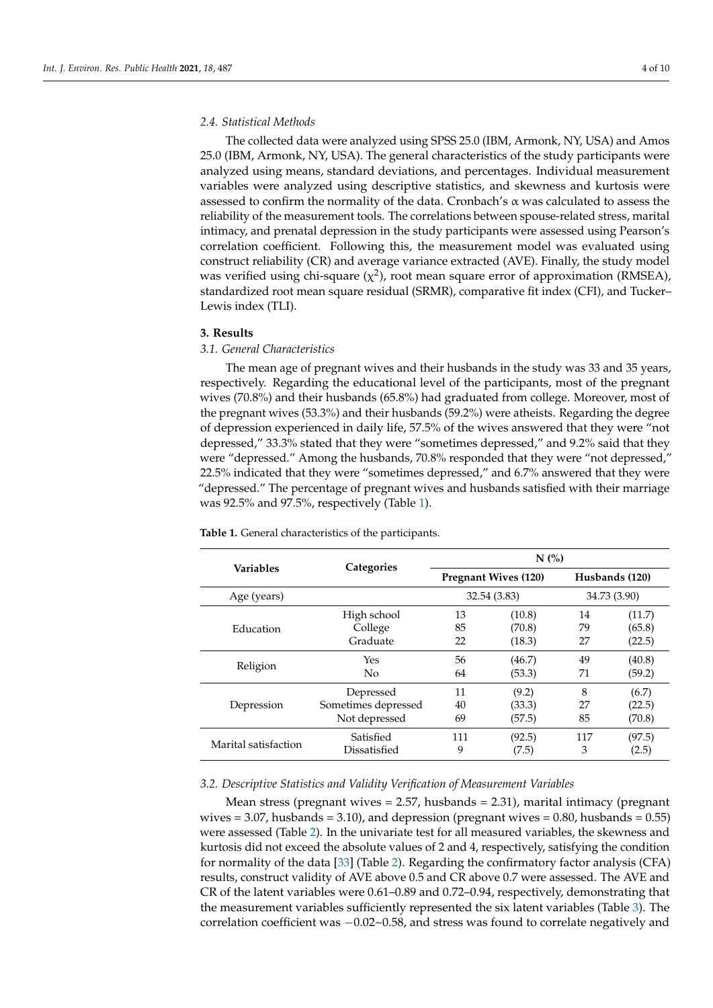#### *2.4. Statistical Methods*

The collected data were analyzed using SPSS 25.0 (IBM, Armonk, NY, USA) and Amos 25.0 (IBM, Armonk, NY, USA). The general characteristics of the study participants were analyzed using means, standard deviations, and percentages. Individual measurement variables were analyzed using descriptive statistics, and skewness and kurtosis were assessed to confirm the normality of the data. Cronbach's  $\alpha$  was calculated to assess the reliability of the measurement tools. The correlations between spouse-related stress, marital intimacy, and prenatal depression in the study participants were assessed using Pearson's correlation coefficient. Following this, the measurement model was evaluated using construct reliability (CR) and average variance extracted (AVE). Finally, the study model was verified using chi-square  $(\chi^2)$ , root mean square error of approximation (RMSEA), standardized root mean square residual (SRMR), comparative fit index (CFI), and Tucker– Lewis index (TLI).

#### **3. Results**

#### *3.1. General Characteristics*

The mean age of pregnant wives and their husbands in the study was 33 and 35 years, respectively. Regarding the educational level of the participants, most of the pregnant wives (70.8%) and their husbands (65.8%) had graduated from college. Moreover, most of the pregnant wives (53.3%) and their husbands (59.2%) were atheists. Regarding the degree of depression experienced in daily life, 57.5% of the wives answered that they were "not depressed," 33.3% stated that they were "sometimes depressed," and 9.2% said that they were "depressed." Among the husbands, 70.8% responded that they were "not depressed," 22.5% indicated that they were "sometimes depressed," and 6.7% answered that they were "depressed." The percentage of pregnant wives and husbands satisfied with their marriage was 92.5% and 97.5%, respectively (Table [1\)](#page-3-0).

|                      |                     | $N$ (%)      |                             |                |        |  |
|----------------------|---------------------|--------------|-----------------------------|----------------|--------|--|
| <b>Variables</b>     | Categories          |              | <b>Pregnant Wives (120)</b> | Husbands (120) |        |  |
| Age (years)          |                     | 32.54 (3.83) |                             | 34.73 (3.90)   |        |  |
|                      | High school         | 13           | (10.8)                      | 14             | (11.7) |  |
| Education            | College             | 85           | (70.8)                      | 79             | (65.8) |  |
|                      | Graduate            | 22           | (18.3)                      | 27             | (22.5) |  |
| Religion             | Yes                 | 56           | (46.7)                      | 49             | (40.8) |  |
|                      | No                  | 64           | (53.3)                      | 71             | (59.2) |  |
|                      | Depressed           | 11           | (9.2)                       | 8              | (6.7)  |  |
| Depression           | Sometimes depressed | 40           | (33.3)                      | 27             | (22.5) |  |
|                      | Not depressed       | 69           | (57.5)                      | 85             | (70.8) |  |
|                      | Satisfied           | 111          | (92.5)                      | 117            | (97.5) |  |
| Marital satisfaction | Dissatisfied        | 9            | (7.5)                       | 3              | (2.5)  |  |

<span id="page-3-0"></span>**Table 1.** General characteristics of the participants.

### *3.2. Descriptive Statistics and Validity Verification of Measurement Variables*

Mean stress (pregnant wives  $= 2.57$ , husbands  $= 2.31$ ), marital intimacy (pregnant wives  $= 3.07$ , husbands  $= 3.10$ ), and depression (pregnant wives  $= 0.80$ , husbands  $= 0.55$ ) were assessed (Table [2\)](#page-4-0). In the univariate test for all measured variables, the skewness and kurtosis did not exceed the absolute values of 2 and 4, respectively, satisfying the condition for normality of the data [\[33\]](#page-9-20) (Table [2\)](#page-4-0). Regarding the confirmatory factor analysis (CFA) results, construct validity of AVE above 0.5 and CR above 0.7 were assessed. The AVE and CR of the latent variables were 0.61–0.89 and 0.72–0.94, respectively, demonstrating that the measurement variables sufficiently represented the six latent variables (Table [3\)](#page-4-1). The correlation coefficient was −0.02~0.58, and stress was found to correlate negatively and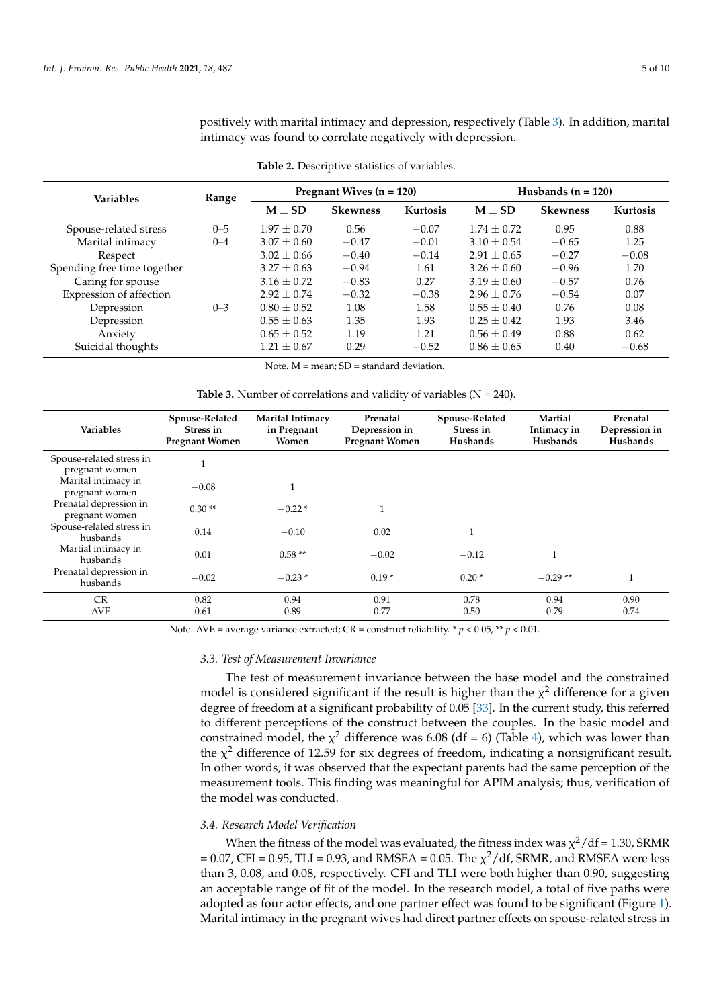positively with marital intimacy and depression, respectively (Table [3\)](#page-4-1). In addition, marital intimacy was found to correlate negatively with depression.

<span id="page-4-0"></span>

| <b>Variables</b>            | Range   |                 | Pregnant Wives $(n = 120)$ |                 | Husbands $(n = 120)$ |                 |          |
|-----------------------------|---------|-----------------|----------------------------|-----------------|----------------------|-----------------|----------|
|                             |         | $M + SD$        | <b>Skewness</b>            | <b>Kurtosis</b> | $M + SD$             | <b>Skewness</b> | Kurtosis |
| Spouse-related stress       | $0 - 5$ | $1.97 + 0.70$   | 0.56                       | $-0.07$         | $1.74 + 0.72$        | 0.95            | 0.88     |
| Marital intimacy            | $0 - 4$ | $3.07 + 0.60$   | $-0.47$                    | $-0.01$         | $3.10 + 0.54$        | $-0.65$         | 1.25     |
| Respect                     |         | $3.02 \pm 0.66$ | $-0.40$                    | $-0.14$         | $2.91 + 0.65$        | $-0.27$         | $-0.08$  |
| Spending free time together |         | $3.27 \pm 0.63$ | $-0.94$                    | 1.61            | $3.26 + 0.60$        | $-0.96$         | 1.70     |
| Caring for spouse           |         | $3.16 \pm 0.72$ | $-0.83$                    | 0.27            | $3.19 + 0.60$        | $-0.57$         | 0.76     |
| Expression of affection     |         | $2.92 + 0.74$   | $-0.32$                    | $-0.38$         | $2.96 + 0.76$        | $-0.54$         | 0.07     |
| Depression                  | $0 - 3$ | $0.80 + 0.52$   | 1.08                       | 1.58            | $0.55 \pm 0.40$      | 0.76            | 0.08     |
| Depression                  |         | $0.55 \pm 0.63$ | 1.35                       | 1.93            | $0.25 + 0.42$        | 1.93            | 3.46     |
| Anxiety                     |         | $0.65 \pm 0.52$ | 1.19                       | 1.21            | $0.56 + 0.49$        | 0.88            | 0.62     |
| Suicidal thoughts           |         | $1.21 \pm 0.67$ | 0.29                       | $-0.52$         | $0.86 \pm 0.65$      | 0.40            | $-0.68$  |

**Table 2.** Descriptive statistics of variables.

Note. M = mean; SD = standard deviation.

**Table 3.** Number of correlations and validity of variables  $(N = 240)$ .

<span id="page-4-1"></span>

| <b>Variables</b>                           | Spouse-Related<br>Stress in<br>Pregnant Women | Marital Intimacy<br>in Pregnant<br>Women | Prenatal<br>Depression in<br><b>Pregnant Women</b> | Spouse-Related<br>Stress in<br>Husbands | Martial<br>Intimacy in<br>Husbands | Prenatal<br>Depression in<br>Husbands |
|--------------------------------------------|-----------------------------------------------|------------------------------------------|----------------------------------------------------|-----------------------------------------|------------------------------------|---------------------------------------|
| Spouse-related stress in<br>pregnant women |                                               |                                          |                                                    |                                         |                                    |                                       |
| Marital intimacy in<br>pregnant women      | $-0.08$                                       |                                          |                                                    |                                         |                                    |                                       |
| Prenatal depression in<br>pregnant women   | $0.30**$                                      | $-0.22*$                                 |                                                    |                                         |                                    |                                       |
| Spouse-related stress in<br>husbands       | 0.14                                          | $-0.10$                                  | 0.02                                               |                                         |                                    |                                       |
| Martial intimacy in<br>husbands            | 0.01                                          | $0.58**$                                 | $-0.02$                                            | $-0.12$                                 |                                    |                                       |
| Prenatal depression in<br>husbands         | $-0.02$                                       | $-0.23*$                                 | $0.19*$                                            | $0.20*$                                 | $-0.29**$                          | и                                     |
| <b>CR</b>                                  | 0.82                                          | 0.94                                     | 0.91                                               | 0.78                                    | 0.94                               | 0.90                                  |
| <b>AVE</b>                                 | 0.61                                          | 0.89                                     | 0.77                                               | 0.50                                    | 0.79                               | 0.74                                  |

Note. AVE = average variance extracted; CR = construct reliability. \* *p* < 0.05, \*\* *p* < 0.01.

#### *3.3. Test of Measurement Invariance*

The test of measurement invariance between the base model and the constrained model is considered significant if the result is higher than the  $\chi^2$  difference for a given degree of freedom at a significant probability of 0.05 [\[33\]](#page-9-20). In the current study, this referred to different perceptions of the construct between the couples. In the basic model and constrained model, the  $\chi^2$  difference was 6.08 (df = 6) (Table [4\)](#page-5-0), which was lower than the  $\chi^2$  difference of 12.59 for six degrees of freedom, indicating a nonsignificant result. In other words, it was observed that the expectant parents had the same perception of the measurement tools. This finding was meaningful for APIM analysis; thus, verification of the model was conducted.

#### *3.4. Research Model Verification*

When the fitness of the model was evaluated, the fitness index was  $\chi^2/\text{df}$  = 1.30, SRMR = 0.07, CFI = 0.95, TLI = 0.93, and RMSEA = 0.05. The  $\chi^2$ /df, SRMR, and RMSEA were less than 3, 0.08, and 0.08, respectively. CFI and TLI were both higher than 0.90, suggesting an acceptable range of fit of the model. In the research model, a total of five paths were adopted as four actor effects, and one partner effect was found to be significant (Figure [1\)](#page-5-1). Marital intimacy in the pregnant wives had direct partner effects on spouse-related stress in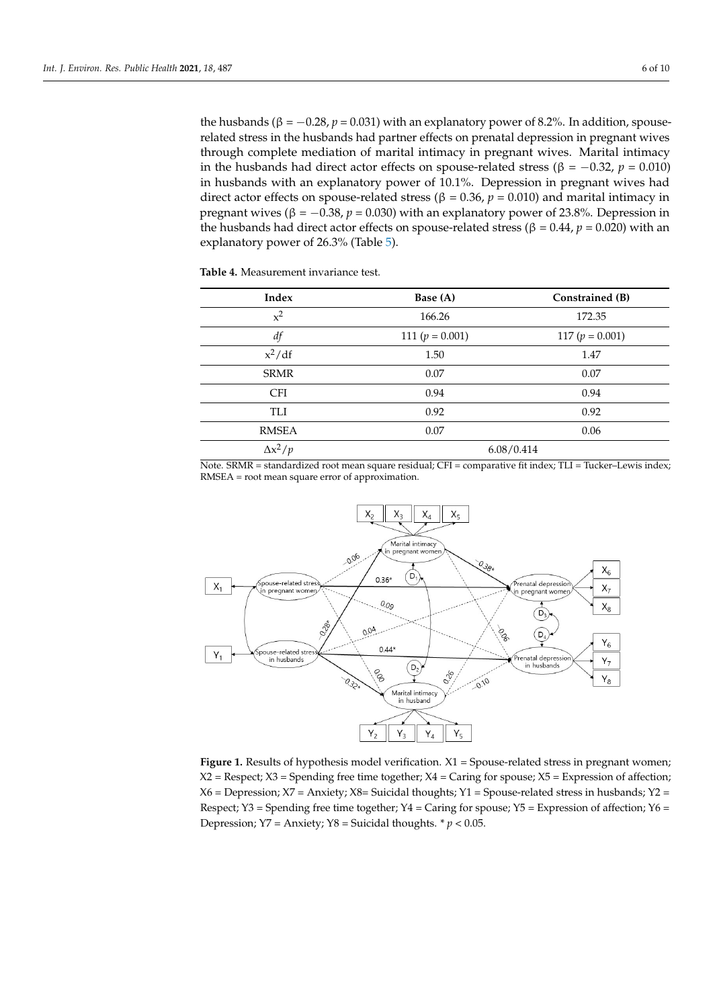the husbands ( $β = -0.28$ ,  $p = 0.031$ ) with an explanatory power of 8.2%. In addition, spouserelated stress in the husbands had partner effects on prenatal depression in pregnant wives through complete mediation of marital intimacy in pregnant wives. Marital intimacy in the husbands had direct actor effects on spouse-related stress (β =  $-0.32$ , *p* = 0.010) in husbands with an explanatory power of 10.1%. Depression in pregnant wives had direct actor effects on spouse-related stress (β = 0.36,  $p$  = 0.010) and marital intimacy in pregnant wives ( $β = -0.38$ ,  $p = 0.030$ ) with an explanatory power of 23.8%. Depression in the husbands had direct actor effects on spouse-related stress ( $β = 0.44$ ,  $p = 0.020$ ) with an explanatory power of 26.3% (Table [5\)](#page-6-0).

<span id="page-5-0"></span>**Table 4.** Measurement invariance test.

| Index          | Base (A)          | Constrained (B)     |
|----------------|-------------------|---------------------|
| $x^2$          | 166.26            | 172.35              |
| df             | 111 $(p = 0.001)$ | 117 ( $p = 0.001$ ) |
| $x^2/df$       | 1.50              | 1.47                |
| <b>SRMR</b>    | 0.07              | 0.07                |
| <b>CFI</b>     | 0.94              | 0.94                |
| TLI            | 0.92              | 0.92                |
| <b>RMSEA</b>   | 0.07              | 0.06                |
| $\Delta x^2/p$ |                   | 6.08/0.414          |
|                |                   |                     |

Note. SRMR = standardized root mean square residual; CFI = comparative fit index; TLI = Tucker–Lewis index; RMSEA = root mean square error of approximation.

<span id="page-5-1"></span>

 $X6 =$  Depression;  $X7 =$  Anxiety;  $X8 =$  Suicidal thoughts;  $Y1 =$  Spouse-related stress in husbands;  $Y2 =$  $\sum_{i=1}^{\infty}$   $\frac{X_{i}}{2}$  = Carrier for spouse;  $\frac{X_{i}}{2}$  =  $\frac{X_{i}}{2}$  =  $\frac{X_{i}}{2}$  =  $\frac{X_{i}}{2}$  =  $\frac{X_{i}}{2}$  =  $\frac{X_{i}}{2}$  =  $\frac{X_{i}}{2}$  =  $\frac{X_{i}}{2}$  =  $\frac{X_{i}}{2}$  =  $\frac{X_{i}}{2}$  =  $\frac{X_{i}}{2}$  =  $\frac{X_{$ Respect; Y3 = Spending free time together; Y4 = Caring for spouse; Y5 = Expression of affection; Y6 = Depression; Y7 = Anxiety; Y8 = Suicidal thoughts. \* *p* < 0.05. **Figure 1.** Results of hypothesis model verification.  $X1 = Spouse-related stress in pregnant women;$  $X2$  = Respect;  $X3$  = Spending free time together;  $X4$  = Caring for spouse;  $X5$  = Expression of affection;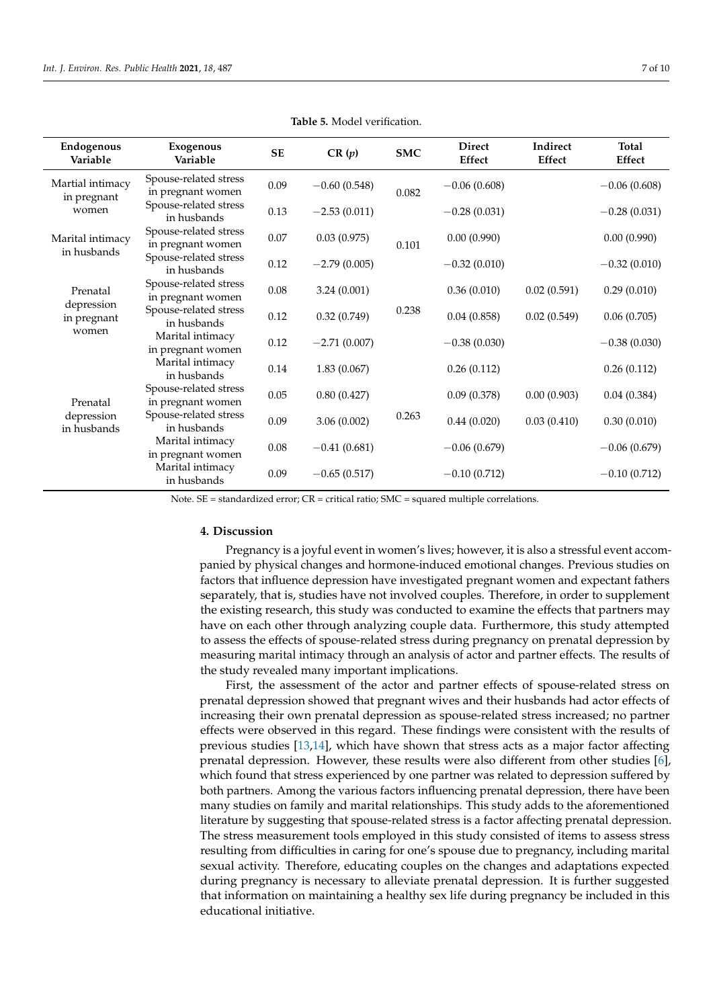<span id="page-6-0"></span>

| Endogenous<br>Variable                         | <b>Exogenous</b><br>Variable               | <b>SE</b> | CR(p)          | <b>SMC</b> | <b>Direct</b><br><b>Effect</b> | Indirect<br>Effect | <b>Total</b><br>Effect |
|------------------------------------------------|--------------------------------------------|-----------|----------------|------------|--------------------------------|--------------------|------------------------|
| Martial intimacy<br>in pregnant<br>women       | Spouse-related stress<br>in pregnant women | 0.09      | $-0.60(0.548)$ | 0.082      | $-0.06(0.608)$                 |                    | $-0.06(0.608)$         |
|                                                | Spouse-related stress<br>in husbands       | 0.13      | $-2.53(0.011)$ |            | $-0.28(0.031)$                 |                    | $-0.28(0.031)$         |
| Marital intimacy<br>in husbands                | Spouse-related stress<br>in pregnant women | 0.07      | 0.03(0.975)    | 0.101      | 0.00(0.990)                    |                    | 0.00(0.990)            |
|                                                | Spouse-related stress<br>in husbands       | 0.12      | $-2.79(0.005)$ |            | $-0.32(0.010)$                 |                    | $-0.32(0.010)$         |
| Prenatal<br>depression<br>in pregnant<br>women | Spouse-related stress<br>in pregnant women | 0.08      | 3.24(0.001)    | 0.238      | 0.36(0.010)                    | 0.02(0.591)        | 0.29(0.010)            |
|                                                | Spouse-related stress<br>in husbands       | 0.12      | 0.32(0.749)    |            | 0.04(0.858)                    | 0.02(0.549)        | 0.06(0.705)            |
|                                                | Marital intimacy<br>in pregnant women      | 0.12      | $-2.71(0.007)$ |            | $-0.38(0.030)$                 |                    | $-0.38(0.030)$         |
| Prenatal<br>depression<br>in husbands          | Marital intimacy<br>in husbands            | 0.14      | 1.83(0.067)    | 0.263      | 0.26(0.112)                    |                    | 0.26(0.112)            |
|                                                | Spouse-related stress<br>in pregnant women | 0.05      | 0.80(0.427)    |            | 0.09(0.378)                    | 0.00(0.903)        | 0.04(0.384)            |
|                                                | Spouse-related stress<br>in husbands       | 0.09      | 3.06(0.002)    |            | 0.44(0.020)                    | 0.03(0.410)        | 0.30(0.010)            |
|                                                | Marital intimacy<br>in pregnant women      | $0.08\,$  | $-0.41(0.681)$ |            | $-0.06(0.679)$                 |                    | $-0.06(0.679)$         |
|                                                | Marital intimacy<br>in husbands            | 0.09      | $-0.65(0.517)$ |            | $-0.10(0.712)$                 |                    | $-0.10(0.712)$         |

**Table 5.** Model verification.

Note.  $SE =$  standardized error;  $CR =$  critical ratio;  $SMC =$  squared multiple correlations.

#### **4. Discussion**

Pregnancy is a joyful event in women's lives; however, it is also a stressful event accompanied by physical changes and hormone-induced emotional changes. Previous studies on factors that influence depression have investigated pregnant women and expectant fathers separately, that is, studies have not involved couples. Therefore, in order to supplement the existing research, this study was conducted to examine the effects that partners may have on each other through analyzing couple data. Furthermore, this study attempted to assess the effects of spouse-related stress during pregnancy on prenatal depression by measuring marital intimacy through an analysis of actor and partner effects. The results of the study revealed many important implications.

First, the assessment of the actor and partner effects of spouse-related stress on prenatal depression showed that pregnant wives and their husbands had actor effects of increasing their own prenatal depression as spouse-related stress increased; no partner effects were observed in this regard. These findings were consistent with the results of previous studies [\[13,](#page-9-2)[14\]](#page-9-3), which have shown that stress acts as a major factor affecting prenatal depression. However, these results were also different from other studies [\[6\]](#page-8-3), which found that stress experienced by one partner was related to depression suffered by both partners. Among the various factors influencing prenatal depression, there have been many studies on family and marital relationships. This study adds to the aforementioned literature by suggesting that spouse-related stress is a factor affecting prenatal depression. The stress measurement tools employed in this study consisted of items to assess stress resulting from difficulties in caring for one's spouse due to pregnancy, including marital sexual activity. Therefore, educating couples on the changes and adaptations expected during pregnancy is necessary to alleviate prenatal depression. It is further suggested that information on maintaining a healthy sex life during pregnancy be included in this educational initiative.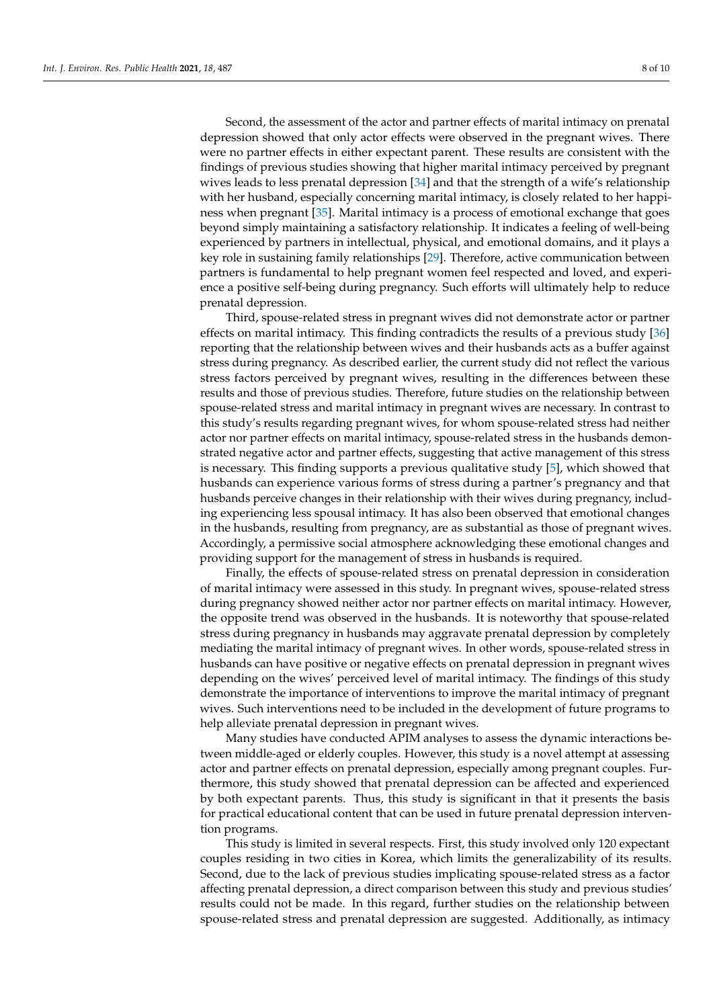Second, the assessment of the actor and partner effects of marital intimacy on prenatal depression showed that only actor effects were observed in the pregnant wives. There were no partner effects in either expectant parent. These results are consistent with the findings of previous studies showing that higher marital intimacy perceived by pregnant wives leads to less prenatal depression [\[34\]](#page-9-21) and that the strength of a wife's relationship with her husband, especially concerning marital intimacy, is closely related to her happiness when pregnant [\[35\]](#page-9-22). Marital intimacy is a process of emotional exchange that goes beyond simply maintaining a satisfactory relationship. It indicates a feeling of well-being experienced by partners in intellectual, physical, and emotional domains, and it plays a key role in sustaining family relationships [\[29\]](#page-9-16). Therefore, active communication between partners is fundamental to help pregnant women feel respected and loved, and experience a positive self-being during pregnancy. Such efforts will ultimately help to reduce prenatal depression.

Third, spouse-related stress in pregnant wives did not demonstrate actor or partner effects on marital intimacy. This finding contradicts the results of a previous study [\[36\]](#page-9-23) reporting that the relationship between wives and their husbands acts as a buffer against stress during pregnancy. As described earlier, the current study did not reflect the various stress factors perceived by pregnant wives, resulting in the differences between these results and those of previous studies. Therefore, future studies on the relationship between spouse-related stress and marital intimacy in pregnant wives are necessary. In contrast to this study's results regarding pregnant wives, for whom spouse-related stress had neither actor nor partner effects on marital intimacy, spouse-related stress in the husbands demonstrated negative actor and partner effects, suggesting that active management of this stress is necessary. This finding supports a previous qualitative study [\[5\]](#page-8-2), which showed that husbands can experience various forms of stress during a partner's pregnancy and that husbands perceive changes in their relationship with their wives during pregnancy, including experiencing less spousal intimacy. It has also been observed that emotional changes in the husbands, resulting from pregnancy, are as substantial as those of pregnant wives. Accordingly, a permissive social atmosphere acknowledging these emotional changes and providing support for the management of stress in husbands is required.

Finally, the effects of spouse-related stress on prenatal depression in consideration of marital intimacy were assessed in this study. In pregnant wives, spouse-related stress during pregnancy showed neither actor nor partner effects on marital intimacy. However, the opposite trend was observed in the husbands. It is noteworthy that spouse-related stress during pregnancy in husbands may aggravate prenatal depression by completely mediating the marital intimacy of pregnant wives. In other words, spouse-related stress in husbands can have positive or negative effects on prenatal depression in pregnant wives depending on the wives' perceived level of marital intimacy. The findings of this study demonstrate the importance of interventions to improve the marital intimacy of pregnant wives. Such interventions need to be included in the development of future programs to help alleviate prenatal depression in pregnant wives.

Many studies have conducted APIM analyses to assess the dynamic interactions between middle-aged or elderly couples. However, this study is a novel attempt at assessing actor and partner effects on prenatal depression, especially among pregnant couples. Furthermore, this study showed that prenatal depression can be affected and experienced by both expectant parents. Thus, this study is significant in that it presents the basis for practical educational content that can be used in future prenatal depression intervention programs.

This study is limited in several respects. First, this study involved only 120 expectant couples residing in two cities in Korea, which limits the generalizability of its results. Second, due to the lack of previous studies implicating spouse-related stress as a factor affecting prenatal depression, a direct comparison between this study and previous studies' results could not be made. In this regard, further studies on the relationship between spouse-related stress and prenatal depression are suggested. Additionally, as intimacy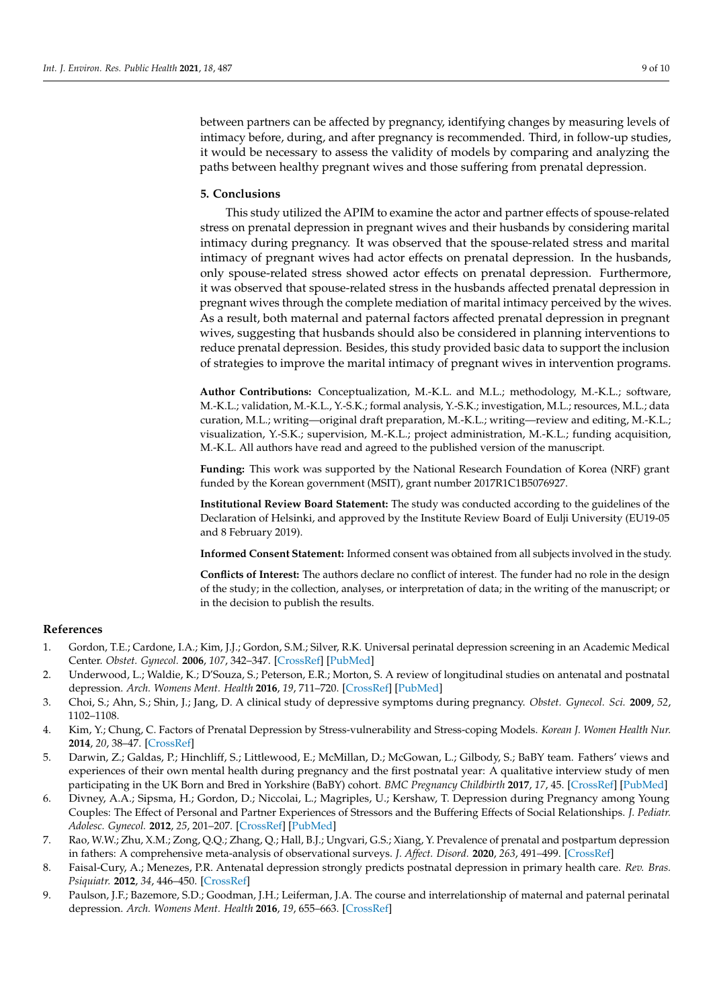between partners can be affected by pregnancy, identifying changes by measuring levels of intimacy before, during, and after pregnancy is recommended. Third, in follow-up studies, it would be necessary to assess the validity of models by comparing and analyzing the paths between healthy pregnant wives and those suffering from prenatal depression.

#### **5. Conclusions**

This study utilized the APIM to examine the actor and partner effects of spouse-related stress on prenatal depression in pregnant wives and their husbands by considering marital intimacy during pregnancy. It was observed that the spouse-related stress and marital intimacy of pregnant wives had actor effects on prenatal depression. In the husbands, only spouse-related stress showed actor effects on prenatal depression. Furthermore, it was observed that spouse-related stress in the husbands affected prenatal depression in pregnant wives through the complete mediation of marital intimacy perceived by the wives. As a result, both maternal and paternal factors affected prenatal depression in pregnant wives, suggesting that husbands should also be considered in planning interventions to reduce prenatal depression. Besides, this study provided basic data to support the inclusion of strategies to improve the marital intimacy of pregnant wives in intervention programs.

**Author Contributions:** Conceptualization, M.-K.L. and M.L.; methodology, M.-K.L.; software, M.-K.L.; validation, M.-K.L., Y.-S.K.; formal analysis, Y.-S.K.; investigation, M.L.; resources, M.L.; data curation, M.L.; writing—original draft preparation, M.-K.L.; writing—review and editing, M.-K.L.; visualization, Y.-S.K.; supervision, M.-K.L.; project administration, M.-K.L.; funding acquisition, M.-K.L. All authors have read and agreed to the published version of the manuscript.

**Funding:** This work was supported by the National Research Foundation of Korea (NRF) grant funded by the Korean government (MSIT), grant number 2017R1C1B5076927.

**Institutional Review Board Statement:** The study was conducted according to the guidelines of the Declaration of Helsinki, and approved by the Institute Review Board of Eulji University (EU19-05 and 8 February 2019).

**Informed Consent Statement:** Informed consent was obtained from all subjects involved in the study.

**Conflicts of Interest:** The authors declare no conflict of interest. The funder had no role in the design of the study; in the collection, analyses, or interpretation of data; in the writing of the manuscript; or in the decision to publish the results.

#### **References**

- <span id="page-8-0"></span>1. Gordon, T.E.; Cardone, I.A.; Kim, J.J.; Gordon, S.M.; Silver, R.K. Universal perinatal depression screening in an Academic Medical Center. *Obstet. Gynecol.* **2006**, *107*, 342–347. [\[CrossRef\]](http://doi.org/10.1097/01.AOG.0000194080.18261.92) [\[PubMed\]](http://www.ncbi.nlm.nih.gov/pubmed/16449122)
- 2. Underwood, L.; Waldie, K.; D'Souza, S.; Peterson, E.R.; Morton, S. A review of longitudinal studies on antenatal and postnatal depression. *Arch. Womens Ment. Health* **2016**, *19*, 711–720. [\[CrossRef\]](http://doi.org/10.1007/s00737-016-0629-1) [\[PubMed\]](http://www.ncbi.nlm.nih.gov/pubmed/27085795)
- 3. Choi, S.; Ahn, S.; Shin, J.; Jang, D. A clinical study of depressive symptoms during pregnancy. *Obstet. Gynecol. Sci.* **2009**, *52*, 1102–1108.
- <span id="page-8-1"></span>4. Kim, Y.; Chung, C. Factors of Prenatal Depression by Stress-vulnerability and Stress-coping Models. *Korean J. Women Health Nur.* **2014**, *20*, 38–47. [\[CrossRef\]](http://doi.org/10.4069/kjwhn.2014.20.1.38)
- <span id="page-8-2"></span>5. Darwin, Z.; Galdas, P.; Hinchliff, S.; Littlewood, E.; McMillan, D.; McGowan, L.; Gilbody, S.; BaBY team. Fathers' views and experiences of their own mental health during pregnancy and the first postnatal year: A qualitative interview study of men participating in the UK Born and Bred in Yorkshire (BaBY) cohort. *BMC Pregnancy Childbirth* **2017**, *17*, 45. [\[CrossRef\]](http://doi.org/10.1186/s12884-017-1229-4) [\[PubMed\]](http://www.ncbi.nlm.nih.gov/pubmed/28125983)
- <span id="page-8-3"></span>6. Divney, A.A.; Sipsma, H.; Gordon, D.; Niccolai, L.; Magriples, U.; Kershaw, T. Depression during Pregnancy among Young Couples: The Effect of Personal and Partner Experiences of Stressors and the Buffering Effects of Social Relationships. *J. Pediatr. Adolesc. Gynecol.* **2012**, *25*, 201–207. [\[CrossRef\]](http://doi.org/10.1016/j.jpag.2012.02.003) [\[PubMed\]](http://www.ncbi.nlm.nih.gov/pubmed/22578481)
- <span id="page-8-4"></span>7. Rao, W.W.; Zhu, X.M.; Zong, Q.Q.; Zhang, Q.; Hall, B.J.; Ungvari, G.S.; Xiang, Y. Prevalence of prenatal and postpartum depression in fathers: A comprehensive meta-analysis of observational surveys. *J. Affect. Disord.* **2020**, *263*, 491–499. [\[CrossRef\]](http://doi.org/10.1016/j.jad.2019.10.030)
- <span id="page-8-5"></span>8. Faisal-Cury, A.; Menezes, P.R. Antenatal depression strongly predicts postnatal depression in primary health care. *Rev. Bras. Psiquiatr.* **2012**, *34*, 446–450. [\[CrossRef\]](http://doi.org/10.1016/j.rbp.2012.01.003)
- <span id="page-8-6"></span>9. Paulson, J.F.; Bazemore, S.D.; Goodman, J.H.; Leiferman, J.A. The course and interrelationship of maternal and paternal perinatal depression. *Arch. Womens Ment. Health* **2016**, *19*, 655–663. [\[CrossRef\]](http://doi.org/10.1007/s00737-016-0598-4)